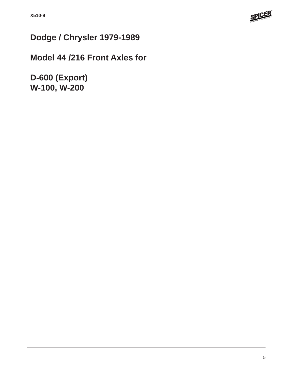

# **Dodge / Chrysler 1979-1989**

## **Model 44 /216 Front Axles for**

**D-600 (Export) W-100, W-200**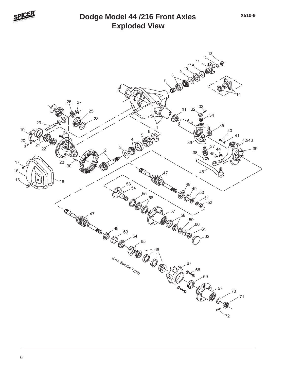

#### **Exploded View Dodge Model 44 /216 Front Axles**



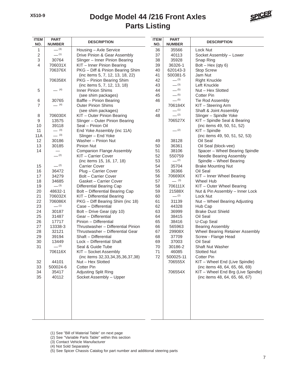#### **Parts Listing Dodge Model 44 /216 Front Axles**



| <b>ITEM</b><br>NO.        | <b>PART</b><br><b>NUMBER</b> | <b>DESCRIPTION</b>                                | <b>ITEM</b><br>NO. | <b>PART</b><br><b>NUMBER</b> | <b>DESCRIPTION</b>                    |
|---------------------------|------------------------------|---------------------------------------------------|--------------------|------------------------------|---------------------------------------|
| 1                         | $- (3)$                      | Housing - Axle Service                            | 36                 | 35566                        | Lock Nut                              |
| $\sqrt{2}$                | $-$ (1)                      | Drive Pinion & Gear Assembly                      | 37                 | 40113                        | Socket Assembly - Lower               |
| $\ensuremath{\mathsf{3}}$ | 30764                        | Slinger - Inner Pinion Bearing                    | 38                 | 35928                        | Snap Ring                             |
| $\overline{4}$            | 706031X                      | KIT - Inner Pinion Bearing                        | 39                 | 36326-1                      | $Bolt - Hex$ (qty 6)                  |
|                           | 706376X                      | PKG - Diff & Pinion Bearing Shim                  | 40                 | 620143-3                     | <b>Stop Screw</b>                     |
|                           |                              | (inc items 5, 7, 12, 13, 18, 22)                  | 41                 | 500381-5                     | Jam Nut                               |
|                           | 706358X                      | PKG - Pinion Bearing Shim                         | 42                 | $- (3)$                      | <b>Right Knuckle</b>                  |
|                           |                              | (inc items 5, 7, 12, 13, 18)                      | 43                 | $- (3)$                      | Left Knuckle                          |
| 5                         | $- (4)$                      | <b>Inner Pinion Shims</b>                         | 44                 | $- (5)$                      | Nut - Hex Slotted                     |
|                           |                              | (see shim packages)                               | 45                 | $- (5)$                      | <b>Cotter Pin</b>                     |
| 6                         | 30765                        | Baffle - Pinion Bearing                           | 46                 | $-$ (5)                      | Tie Rod Assembly                      |
| $\overline{7}$            | $- (4)$                      | <b>Outer Pinion Shims</b>                         |                    | 706184X                      | KIT - Steering Arm                    |
|                           |                              | (see shim packages)                               | 47                 | $-$ (1)                      | Shaft & Joint Assembly                |
| 8                         | 706030X                      | KIT - Outer Pinion Bearing                        | 48                 | (2)                          | Slinger - Spindle Yoke                |
| 9                         | 13575                        | Slinger - Outer Pinion Bearing                    |                    | 706527X                      | KIT - Spindle Seal & Bearing          |
| 10                        | 39118                        | Seal - Pinion Oil                                 |                    |                              | (inc items 49, 50, 51, 52)            |
| 11                        | $- (3)$                      | End Yoke Assembly (inc 11A)                       |                    | $-$ (2)                      | KIT - Spindle                         |
| <b>11A</b>                | $\frac{1}{2}$ (3)            | Slinger - End Yoke                                |                    |                              | (inc items 49, 50, 51, 52, 53)        |
| 12                        | 30186                        | Washer - Pinion Nut                               | 49                 | 38128                        | Oil Seal                              |
| 13                        | 30185                        | <b>Pinion Nut</b>                                 | 50                 | 36361                        | Oil Seal (block-vee)                  |
| 14                        |                              | <b>Companion Flange Assembly</b>                  | 51                 | 38106                        | Spacer - Wheel Bearing Spindle        |
|                           | $-$ (2)                      | KIT - Carrier Cover                               | 52                 | 550759                       | Needle Bearing Assembly               |
|                           |                              | (inc items 15, 16, 17, 18)                        | 53                 | $-^{(2)}$                    | Spindle - Wheel Bearing               |
| 15                        | $- (2)$                      | <b>Carrier Cover</b>                              | 54                 | 35704                        | <b>Brake Mounting Nut</b>             |
| 16                        | 36472                        | Plug - Carrier Cover                              | 55                 | 36366                        | Oil Seal                              |
| 17                        | 34279                        | Bolt - Carrier Cover                              | 56                 | 706690X                      | KIT - Inner Wheel Bearing             |
| 18                        | 34685                        | Gasket - Carrier Cover                            | 57                 | $- (3)$                      | Wheel Hub                             |
| 19                        | $- (3)$                      | <b>Differential Bearing Cap</b>                   | 58                 | 706111X                      | KIT - Outer Wheel Bearing             |
| 20                        | 48632-1                      | Bolt - Differential Bearing Cap                   | 59                 | 21588X                       | Nut & Pin Assembly - Inner Lock       |
| 21                        | 706032X                      | KIT - Differential Bearing                        | 60                 | $-$ (2)                      | Lock Nut                              |
| 22                        | 706086X<br>$-$ (1)           | PKG - Diff Bearing Shim (inc 18)                  | 61                 | 31139                        | Nut - Wheel Bearing Adjusting         |
| 23                        |                              | Case - Differential                               | 62                 | 44328                        | Hub Cap                               |
| 24<br>25                  | 30187<br>31487               | Bolt - Drive Gear (qty 10)<br>Gear - Differential | 63<br>64           | 36999<br>38415               | <b>Brake Dust Shield</b><br>Oil Seal  |
| 26                        | 17717                        | Pinion - Differential                             | 65                 | 38416                        |                                       |
| 27                        | 13338-3                      | Thrustwasher - Differential Pinion                | 66                 | 565963                       | U-Cup Seal<br><b>Bearing Assembly</b> |
| 28                        | 32121                        | Thrustwasher - Differential Gear                  | 67                 | 29908X                       | Wheel Bearing Retainer Assembly       |
| 29                        | 39194                        | Shaft - Differential                              | 68                 | 37709                        | Screw - Flange Head                   |
| 30                        | 13449                        | Lock - Differential Shaft                         | 69                 | 37003                        | Oil Seal                              |
| 31                        | $- (2)$                      | Seal & Guide Tube                                 | 70                 | 30186-2                      | Shaft Nut Washer                      |
|                           | 706116X                      | KIT - Socket Assembly                             | 71                 | 46085                        | <b>Slotted Nut</b>                    |
|                           |                              | (inc items 32,33,34,35,36,37,38)                  | 72                 | 500025-11                    | <b>Cotter Pin</b>                     |
| 32                        | 44101                        | Nut - Hex Slotted                                 |                    | 706555X                      | KIT - Wheel End (Live Spindle)        |
| 33                        | 500024-6                     | <b>Cotter Pin</b>                                 |                    |                              | (inc items 48, 64, 65, 66, 69)        |
| 34                        | 35417                        | Adjusting Split Ring                              |                    | 706554X                      | KIT - Wheel End Brg (Live Spindle)    |
| 35                        | 40112                        | Socket Assembly - Upper                           |                    |                              | (inc items 48, 64, 65, 66, 67)        |
|                           |                              |                                                   |                    |                              |                                       |

- (2) See "Variable Parts Table" within this section
- (3) Contact Vehicle Manufacturer

(4) Not Sold Separately

(5) See Spicer Chassis Catalog for part number and additional steering parts